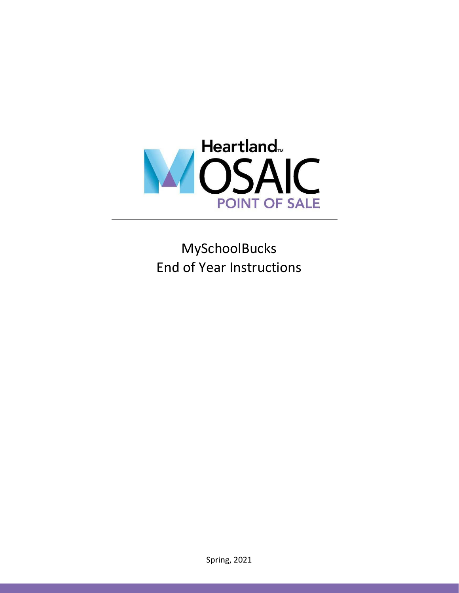

MySchoolBucks End of Year Instructions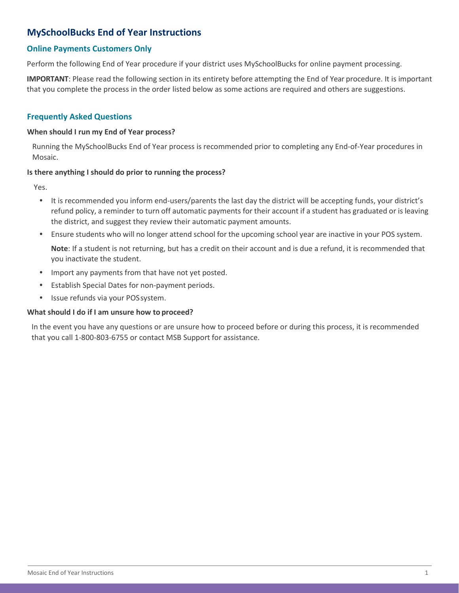# **MySchoolBucks End of Year Instructions**

# **Online Payments Customers Only**

Perform the following End of Year procedure if your district uses MySchoolBucks for online payment processing.

**IMPORTANT**: Please read the following section in its entirety before attempting the End of Year procedure. It is important that you complete the process in the order listed below as some actions are required and others are suggestions.

### **Frequently Asked Questions**

#### **When should I run my End of Year process?**

Running the MySchoolBucks End of Year process is recommended prior to completing any End-of-Year procedures in Mosaic.

#### **Is there anything I should do prior to running the process?**

Yes.

- **•** It is recommended you inform end-users/parents the last day the district will be accepting funds, your district's refund policy, a reminder to turn off automatic payments for their account if a student has graduated or is leaving the district, and suggest they review their automatic payment amounts.
- **•** Ensure students who will no longer attend school for the upcoming school year are inactive in your POS system.

**Note**: If a student is not returning, but has a credit on their account and is due a refund, it is recommended that you inactivate the student.

- **•** Import any payments from that have not yet posted.
- **•** Establish Special Dates for non-payment periods.
- **•** Issue refunds via your POSsystem.

#### **What should I do if I am unsure how to proceed?**

In the event you have any questions or are unsure how to proceed before or during this process, it is recommended that you call 1-800-803-6755 or contact MSB Support for assistance.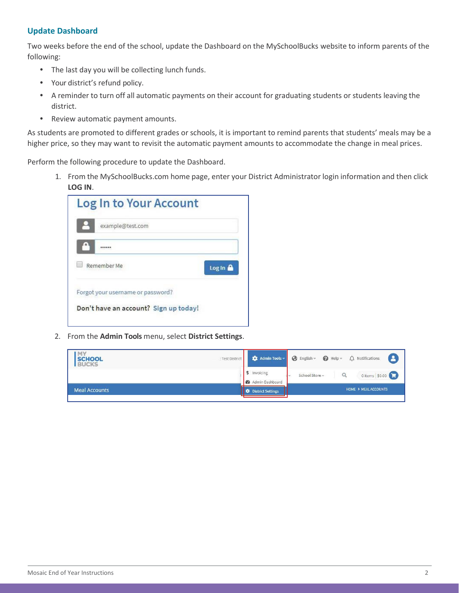# **Update Dashboard**

Two weeks before the end of the school, update the Dashboard on the MySchoolBucks website to inform parents of the following:

- **•** The last day you will be collecting lunch funds.
- **•** Your district's refund policy.
- **•** A reminder to turn off all automatic payments on their account for graduating students or students leaving the district.
- **•** Review automatic payment amounts.

As students are promoted to different grades or schools, it is important to remind parents that students' meals may be a higher price, so they may want to revisit the automatic payment amounts to accommodate the change in meal prices.

Perform the following procedure to update the Dashboard.

1. From the MySchoolBucks.com home page, enter your District Administrator login information and then click **LOG IN**.

| Log In to Your Account                |        |
|---------------------------------------|--------|
| example@test.com                      |        |
|                                       |        |
| Remember Me                           | Log In |
| Forgot your username or password?     |        |
| Don't have an account? Sign up today! |        |

2. From the **Admin Tools** menu, select **District Settings**.

| <b>SCHOOL</b><br><b>BUCKS</b> | : Test District |                          | Admin Tools = G English = G Help = A Notifications | <u>( 2 )</u>     |
|-------------------------------|-----------------|--------------------------|----------------------------------------------------|------------------|
|                               |                 | \$ Invoicing             | School Store                                       | 0 items   \$0.00 |
|                               |                 | <b>@</b> Admin Dashboard |                                                    |                  |
| <b>Meal Accounts</b>          |                 | <b>District Settings</b> | <b>HOME &gt; MEAL ACCOUNTS</b>                     |                  |
|                               |                 |                          |                                                    |                  |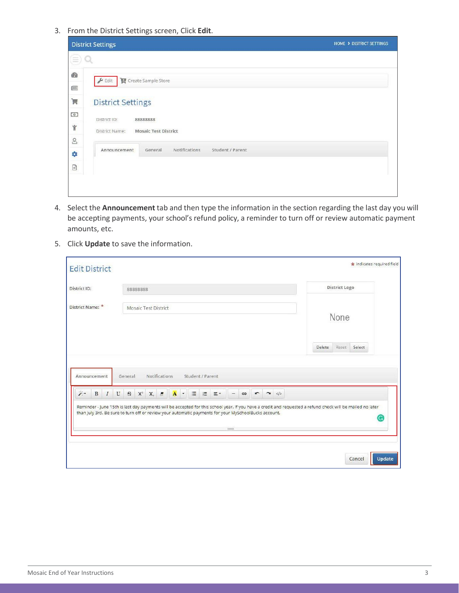3. From the District Settings screen, Click **Edit**.

| <b>District Settings</b>                                                 | HOME > DISTRICT SETTINGS |
|--------------------------------------------------------------------------|--------------------------|
| $\equiv$                                                                 |                          |
| <b>B</b><br>$\blacktriangleright$ Edit<br>Create Sample Store            |                          |
| 国                                                                        |                          |
| $\blacksquare$<br><b>District Settings</b>                               |                          |
| $\begin{pmatrix} 0 \\ 0 \end{pmatrix}$<br>District ID:<br>88888888       |                          |
| $\mathring{\mathbb{Y}}$<br><b>Mosaic Test District</b><br>District Name: |                          |
| $\mathbf{g}$                                                             |                          |
| Notifications<br>Student / Parent<br>General<br>Announcement<br>0        |                          |
| $\begin{tabular}{ c c } \hline \hline \hline \end{tabular}$              |                          |
|                                                                          |                          |
|                                                                          |                          |

- 4. Select the **Announcement** tab and then type the information in the section regarding the last day you will be accepting payments, your school's refund policy, a reminder to turn off or review automatic payment amounts, etc.
- 5. Click **Update** to save the information.

| <b>Edit District</b>               |                                                                                                                                                                                                                                                                                                                                                                                     | indicates required field  |  |
|------------------------------------|-------------------------------------------------------------------------------------------------------------------------------------------------------------------------------------------------------------------------------------------------------------------------------------------------------------------------------------------------------------------------------------|---------------------------|--|
| District ID:                       | 88888888                                                                                                                                                                                                                                                                                                                                                                            | District Logo             |  |
| District Name: *                   | Mosaic Test District                                                                                                                                                                                                                                                                                                                                                                | None                      |  |
|                                    |                                                                                                                                                                                                                                                                                                                                                                                     | Select<br>Delete<br>Reset |  |
| Announcement                       | Notifications<br>Student / Parent<br>General                                                                                                                                                                                                                                                                                                                                        |                           |  |
| $\mathcal{E}^{\mathcal{A}}$<br>BIU | $S$ $X'$ $X$ , $B$ $\Lambda$ $\sim$<br>$\equiv$<br>這<br>三 *<br>$\overline{r}$<br>$\rightarrow$<br>GD<br>Reminder - June 15th is last day payments will be accepted for this school year. If you have a credit and requested a refund check will be mailed no later<br>than July 3rd. Be sure to turn off or review your automatic payments for your MySchoolBucks account.<br>12000 | G                         |  |
|                                    |                                                                                                                                                                                                                                                                                                                                                                                     | Cancel<br>Update          |  |